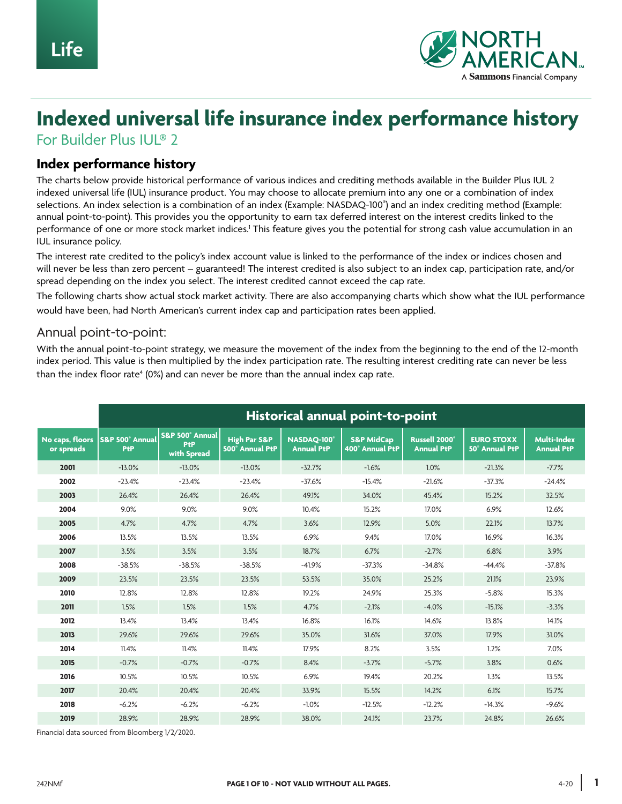

# **Indexed universal life insurance index performance history**

For Builder Plus IUL® 2

#### **Index performance history**

The charts below provide historical performance of various indices and crediting methods available in the Builder Plus IUL 2 indexed universal life (IUL) insurance product. You may choose to allocate premium into any one or a combination of index selections. An index selection is a combination of an index (Example: NASDAQ-100® ) and an index crediting method (Example: annual point-to-point). This provides you the opportunity to earn tax deferred interest on the interest credits linked to the performance of one or more stock market indices.' This feature gives you the potential for strong cash value accumulation in an IUL insurance policy.

The interest rate credited to the policy's index account value is linked to the performance of the index or indices chosen and will never be less than zero percent – guaranteed! The interest credited is also subject to an index cap, participation rate, and/or spread depending on the index you select. The interest credited cannot exceed the cap rate.

The following charts show actual stock market activity. There are also accompanying charts which show what the IUL performance would have been, had North American's current index cap and participation rates been applied.

#### Annual point-to-point:

With the annual point-to-point strategy, we measure the movement of the index from the beginning to the end of the 12-month index period. This value is then multiplied by the index participation rate. The resulting interest crediting rate can never be less than the index floor rate<sup>4</sup> (0%) and can never be more than the annual index cap rate.

|                               | Historical annual point-to-point |                                              |                                                   |                                 |                                          |                                                |                                            |                                         |
|-------------------------------|----------------------------------|----------------------------------------------|---------------------------------------------------|---------------------------------|------------------------------------------|------------------------------------------------|--------------------------------------------|-----------------------------------------|
| No caps, floors<br>or spreads | S&P 500° Annual<br>PtP           | S&P 500° Annual<br><b>PtP</b><br>with Spread | <b>High Par S&amp;P</b><br><b>500° Annual PtP</b> | NASDAO-100<br><b>Annual PtP</b> | <b>S&amp;P MidCap</b><br>400° Annual PtP | Russell 2000 <sup>°</sup><br><b>Annual PtP</b> | <b>EURO STOXX</b><br><b>50° Annual PtP</b> | <b>Multi-Index</b><br><b>Annual PtP</b> |
| 2001                          | $-13.0%$                         | $-13.0%$                                     | $-13.0%$                                          | $-32.7%$                        | $-1.6%$                                  | 1.0%                                           | $-21.3%$                                   | $-7.7%$                                 |
| 2002                          | $-23.4%$                         | $-23.4%$                                     | $-23.4%$                                          | $-37.6%$                        | $-15.4%$                                 | $-21.6%$                                       | $-37.3%$                                   | $-24.4%$                                |
| 2003                          | 26.4%                            | 26.4%                                        | 26.4%                                             | 49.1%                           | 34.0%                                    | 45.4%                                          | 15.2%                                      | 32.5%                                   |
| 2004                          | 9.0%                             | 9.0%                                         | 9.0%                                              | 10.4%                           | 15.2%                                    | 17.0%                                          | 6.9%                                       | 12.6%                                   |
| 2005                          | 4.7%                             | 4.7%                                         | 4.7%                                              | 3.6%                            | 12.9%                                    | 5.0%                                           | 22.1%                                      | 13.7%                                   |
| 2006                          | 13.5%                            | 13.5%                                        | 13.5%                                             | 6.9%                            | 9.4%                                     | 17.0%                                          | 16.9%                                      | 16.3%                                   |
| 2007                          | 3.5%                             | 3.5%                                         | 3.5%                                              | 18.7%                           | 6.7%                                     | $-2.7%$                                        | 6.8%                                       | 3.9%                                    |
| 2008                          | $-38.5%$                         | $-38.5%$                                     | $-38.5%$                                          | $-41.9%$                        | $-37.3%$                                 | $-34.8%$                                       | $-44.4%$                                   | $-37.8%$                                |
| 2009                          | 23.5%                            | 23.5%                                        | 23.5%                                             | 53.5%                           | 35.0%                                    | 25.2%                                          | 21.1%                                      | 23.9%                                   |
| 2010                          | 12.8%                            | 12.8%                                        | 12.8%                                             | 19.2%                           | 24.9%                                    | 25.3%                                          | $-5.8%$                                    | 15.3%                                   |
| 2011                          | 1.5%                             | 1.5%                                         | 1.5%                                              | 4.7%                            | $-2.1%$                                  | $-4.0%$                                        | $-15.1%$                                   | $-3.3%$                                 |
| 2012                          | 13.4%                            | 13.4%                                        | 13.4%                                             | 16.8%                           | 16.1%                                    | 14.6%                                          | 13.8%                                      | 14.1%                                   |
| 2013                          | 29.6%                            | 29.6%                                        | 29.6%                                             | 35.0%                           | 31.6%                                    | 37.0%                                          | 17.9%                                      | 31.0%                                   |
| 2014                          | 11.4%                            | 11.4%                                        | 11.4%                                             | 17.9%                           | 8.2%                                     | 3.5%                                           | 1.2%                                       | 7.0%                                    |
| 2015                          | $-0.7%$                          | $-0.7%$                                      | $-0.7%$                                           | 8.4%                            | $-3.7%$                                  | $-5.7%$                                        | 3.8%                                       | 0.6%                                    |
| 2016                          | 10.5%                            | 10.5%                                        | 10.5%                                             | 6.9%                            | 19.4%                                    | 20.2%                                          | 1.3%                                       | 13.5%                                   |
| 2017                          | 20.4%                            | 20.4%                                        | 20.4%                                             | 33.9%                           | 15.5%                                    | 14.2%                                          | 6.1%                                       | 15.7%                                   |
| 2018                          | $-6.2%$                          | $-6.2%$                                      | $-6.2%$                                           | $-1.0%$                         | $-12.5%$                                 | $-12.2%$                                       | $-14.3%$                                   | $-9.6%$                                 |
| 2019                          | 28.9%                            | 28.9%                                        | 28.9%                                             | 38.0%                           | 24.1%                                    | 23.7%                                          | 24.8%                                      | 26.6%                                   |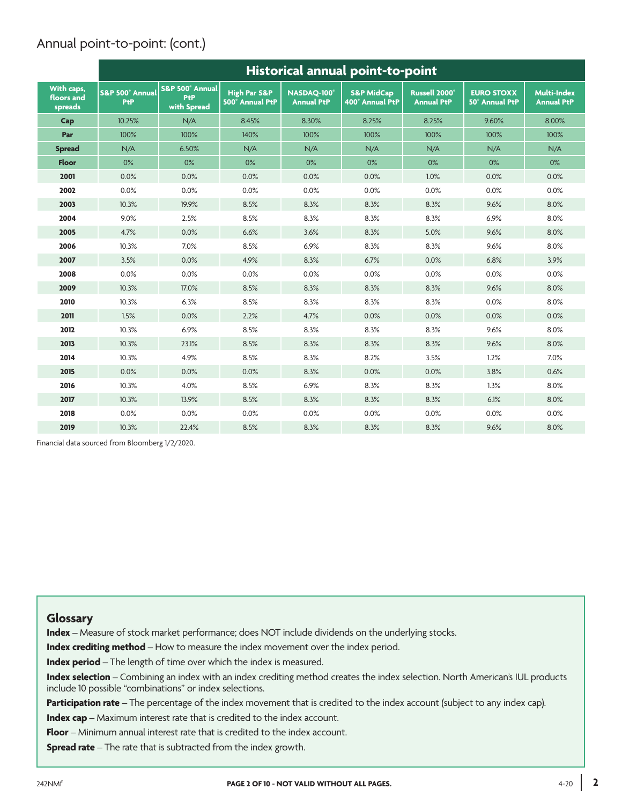# Annual point-to-point: (cont.)

|                                     | Historical annual point-to-point |                                              |                                                   |                                  |                                          |                                                |                                            |                                         |
|-------------------------------------|----------------------------------|----------------------------------------------|---------------------------------------------------|----------------------------------|------------------------------------------|------------------------------------------------|--------------------------------------------|-----------------------------------------|
| With caps,<br>floors and<br>spreads | S&P 500° Annual<br>PtP           | S&P 500° Annual<br><b>PtP</b><br>with Spread | <b>High Par S&amp;P</b><br><b>500° Annual PtP</b> | NASDAO-100°<br><b>Annual PtP</b> | <b>S&amp;P MidCap</b><br>400° Annual PtP | Russell 2000 <sup>®</sup><br><b>Annual PtP</b> | <b>EURO STOXX</b><br><b>50° Annual PtP</b> | <b>Multi-Index</b><br><b>Annual PtP</b> |
| Cap                                 | 10.25%                           | N/A                                          | 8.45%                                             | 8.30%                            | 8.25%                                    | 8.25%                                          | 9.60%                                      | 8.00%                                   |
| Par                                 | 100%                             | 100%                                         | 140%                                              | 100%                             | 100%                                     | 100%                                           | 100%                                       | 100%                                    |
| <b>Spread</b>                       | N/A                              | 6.50%                                        | N/A                                               | N/A                              | N/A                                      | N/A                                            | N/A                                        | N/A                                     |
| <b>Floor</b>                        | 0%                               | $0\%$                                        | 0%                                                | 0%                               | $0\%$                                    | $0\%$                                          | 0%                                         | 0%                                      |
| 2001                                | 0.0%                             | 0.0%                                         | 0.0%                                              | 0.0%                             | 0.0%                                     | 1.0%                                           | 0.0%                                       | 0.0%                                    |
| 2002                                | 0.0%                             | 0.0%                                         | 0.0%                                              | 0.0%                             | 0.0%                                     | 0.0%                                           | 0.0%                                       | 0.0%                                    |
| 2003                                | 10.3%                            | 19.9%                                        | 8.5%                                              | 8.3%                             | 8.3%                                     | 8.3%                                           | 9.6%                                       | 8.0%                                    |
| 2004                                | 9.0%                             | 2.5%                                         | 8.5%                                              | 8.3%                             | 8.3%                                     | 8.3%                                           | 6.9%                                       | 8.0%                                    |
| 2005                                | 4.7%                             | 0.0%                                         | 6.6%                                              | 3.6%                             | 8.3%                                     | 5.0%                                           | 9.6%                                       | 8.0%                                    |
| 2006                                | 10.3%                            | 7.0%                                         | 8.5%                                              | 6.9%                             | 8.3%                                     | 8.3%                                           | 9.6%                                       | 8.0%                                    |
| 2007                                | 3.5%                             | 0.0%                                         | 4.9%                                              | 8.3%                             | 6.7%                                     | 0.0%                                           | 6.8%                                       | 3.9%                                    |
| 2008                                | 0.0%                             | 0.0%                                         | 0.0%                                              | 0.0%                             | 0.0%                                     | 0.0%                                           | 0.0%                                       | 0.0%                                    |
| 2009                                | 10.3%                            | 17.0%                                        | 8.5%                                              | 8.3%                             | 8.3%                                     | 8.3%                                           | 9.6%                                       | 8.0%                                    |
| 2010                                | 10.3%                            | 6.3%                                         | 8.5%                                              | 8.3%                             | 8.3%                                     | 8.3%                                           | 0.0%                                       | 8.0%                                    |
| 2011                                | 1.5%                             | 0.0%                                         | 2.2%                                              | 4.7%                             | 0.0%                                     | 0.0%                                           | 0.0%                                       | 0.0%                                    |
| 2012                                | 10.3%                            | 6.9%                                         | 8.5%                                              | 8.3%                             | 8.3%                                     | 8.3%                                           | 9.6%                                       | 8.0%                                    |
| 2013                                | 10.3%                            | 23.1%                                        | 8.5%                                              | 8.3%                             | 8.3%                                     | 8.3%                                           | 9.6%                                       | 8.0%                                    |
| 2014                                | 10.3%                            | 4.9%                                         | 8.5%                                              | 8.3%                             | 8.2%                                     | 3.5%                                           | 1.2%                                       | 7.0%                                    |
| 2015                                | 0.0%                             | 0.0%                                         | 0.0%                                              | 8.3%                             | 0.0%                                     | 0.0%                                           | 3.8%                                       | 0.6%                                    |
| 2016                                | 10.3%                            | 4.0%                                         | 8.5%                                              | 6.9%                             | 8.3%                                     | 8.3%                                           | 1.3%                                       | 8.0%                                    |
| 2017                                | 10.3%                            | 13.9%                                        | 8.5%                                              | 8.3%                             | 8.3%                                     | 8.3%                                           | 6.1%                                       | 8.0%                                    |
| 2018                                | 0.0%                             | 0.0%                                         | 0.0%                                              | 0.0%                             | 0.0%                                     | 0.0%                                           | 0.0%                                       | 0.0%                                    |
| 2019                                | 10.3%                            | 22.4%                                        | 8.5%                                              | 8.3%                             | 8.3%                                     | 8.3%                                           | 9.6%                                       | 8.0%                                    |

Financial data sourced from Bloomberg 1/2/2020.

#### **Glossary**

**Index** – Measure of stock market performance; does NOT include dividends on the underlying stocks.

**Index crediting method** – How to measure the index movement over the index period.

**Index period** – The length of time over which the index is measured.

**Index selection** – Combining an index with an index crediting method creates the index selection. North American's IUL products include 10 possible "combinations" or index selections.

**Participation rate** – The percentage of the index movement that is credited to the index account (subject to any index cap).

**Index cap** – Maximum interest rate that is credited to the index account.

**Floor** – Minimum annual interest rate that is credited to the index account.

**Spread rate** – The rate that is subtracted from the index growth.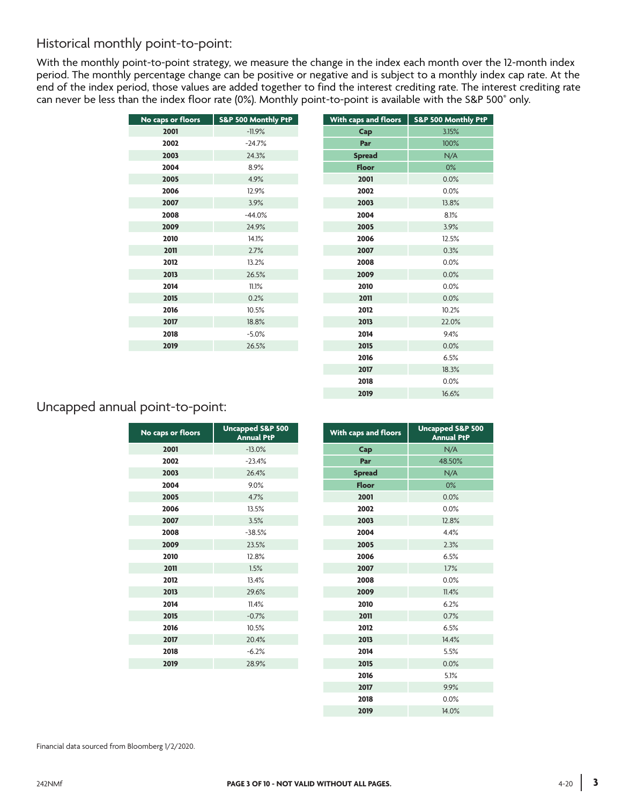## Historical monthly point-to-point:

With the monthly point-to-point strategy, we measure the change in the index each month over the 12-month index period. The monthly percentage change can be positive or negative and is subject to a monthly index cap rate. At the end of the index period, those values are added together to find the interest crediting rate. The interest crediting rate can never be less than the index floor rate (0%). Monthly point-to-point is available with the S&P 500® only.

| No caps or floors | S&P 500 Monthly PtP | With caps and floors | <b>S&amp;P 500 Mor</b> |
|-------------------|---------------------|----------------------|------------------------|
| 2001              | $-11.9%$            | Cap                  | 3.15%                  |
| 2002              | $-24.7%$            | Par                  | 100%                   |
| 2003              | 24.3%               | <b>Spread</b>        | N/A                    |
| 2004              | 8.9%                | <b>Floor</b>         | 0%                     |
| 2005              | 4.9%                | 2001                 | 0.0%                   |
| 2006              | 12.9%               | 2002                 | 0.0%                   |
| 2007              | 3.9%                | 2003                 | 13.8%                  |
| 2008              | $-44.0%$            | 2004                 | 8.1%                   |
| 2009              | 24.9%               | 2005                 | 3.9%                   |
| 2010              | 14.1%               | 2006                 | 12.5%                  |
| 2011              | 2.7%                | 2007                 | 0.3%                   |
| 2012              | 13.2%               | 2008                 | 0.0%                   |
| 2013              | 26.5%               | 2009                 | 0.0%                   |
| 2014              | 11.1%               | 2010                 | 0.0%                   |
| 2015              | 0.2%                | 2011                 | 0.0%                   |
| 2016              | 10.5%               | 2012                 | 10.2%                  |
| 2017              | 18.8%               | 2013                 | 22.09                  |
| 2018              | $-5.0%$             | 2014                 | 9.4%                   |
| 2019              | 26.5%               | 2015                 | 0.0%                   |
|                   |                     |                      |                        |

| No caps or floors | S&P 500 Monthly PtP | With caps and floors | <b>S&amp;P 500 Monthly PtP</b> |
|-------------------|---------------------|----------------------|--------------------------------|
| 2001              | $-11.9%$            | Cap                  | 3.15%                          |
| 2002              | $-24.7%$            | Par                  | 100%                           |
| 2003              | 24.3%               | <b>Spread</b>        | N/A                            |
| 2004              | 8.9%                | Floor                | $0\%$                          |
| 2005              | 4.9%                | 2001                 | 0.0%                           |
| 2006              | 12.9%               | 2002                 | 0.0%                           |
| 2007              | 3.9%                | 2003                 | 13.8%                          |
| 2008              | $-44.0%$            | 2004                 | 8.1%                           |
| 2009              | 24.9%               | 2005                 | 3.9%                           |
| 2010              | 14.1%               | 2006                 | 12.5%                          |
| 2011              | 2.7%                | 2007                 | 0.3%                           |
| 2012              | 13.2%               | 2008                 | 0.0%                           |
| 2013              | 26.5%               | 2009                 | 0.0%                           |
| 2014              | 11.1%               | 2010                 | 0.0%                           |
| 2015              | 0.2%                | 2011                 | 0.0%                           |
| 2016              | 10.5%               | 2012                 | 10.2%                          |
| 2017              | 18.8%               | 2013                 | 22.0%                          |
| 2018              | $-5.0%$             | 2014                 | 9.4%                           |
| 2019              | 26.5%               | 2015                 | 0.0%                           |
|                   |                     | 2016                 | 6.5%                           |
|                   |                     | 2017                 | 18.3%                          |
|                   |                     | 2018                 | 0.0%                           |
|                   |                     | 2019                 | 16.6%                          |
|                   |                     |                      |                                |

## Uncapped annual point-to-point:

| No caps or floors | <b>Uncapped S&amp;P 500</b><br><b>Annual PtP</b> | With caps and floors | <b>Uncapped S</b><br><b>Annual</b> |
|-------------------|--------------------------------------------------|----------------------|------------------------------------|
| 2001              | $-13.0%$                                         | Cap                  | N/A                                |
| 2002              | $-23.4%$                                         | Par                  | 48.50%                             |
| 2003              | 26.4%                                            | <b>Spread</b>        | N/A                                |
| 2004              | 9.0%                                             | <b>Floor</b>         | 0%                                 |
| 2005              | 4.7%                                             | 2001                 | 0.0%                               |
| 2006              | 13.5%                                            | 2002                 | 0.0%                               |
| 2007              | 3.5%                                             | 2003                 | 12.8%                              |
| 2008              | $-38.5%$                                         | 2004                 | 4.4%                               |
| 2009              | 23.5%                                            | 2005                 | 2.3%                               |
| 2010              | 12.8%                                            | 2006                 | 6.5%                               |
| 2011              | 1.5%                                             | 2007                 | 1.7%                               |
| 2012              | 13.4%                                            | 2008                 | 0.0%                               |
| 2013              | 29.6%                                            | 2009                 | 11.4%                              |
| 2014              | 11.4%                                            | 2010                 | 6.2%                               |
| 2015              | $-0.7%$                                          | 2011                 | 0.7%                               |
| 2016              | 10.5%                                            | 2012                 | 6.5%                               |
| 2017              | 20.4%                                            | 2013                 | 14.4%                              |
| 2018              | $-6.2%$                                          | 2014                 | 5.5%                               |
| 2019              | 28.9%                                            | 2015                 | 0.0%                               |
|                   |                                                  | 2016                 | 5.1%                               |

| os or floors | <b>Uncapped S&amp;P 500</b><br><b>Annual PtP</b> | With caps and floors | <b>Uncapped S&amp;P 500</b><br><b>Annual PtP</b> |
|--------------|--------------------------------------------------|----------------------|--------------------------------------------------|
| 2001         | $-13.0%$                                         | Cap                  | N/A                                              |
| 2002         | $-23.4%$                                         | Par                  | 48.50%                                           |
| 2003         | 26.4%                                            | <b>Spread</b>        | N/A                                              |
| 2004         | 9.0%                                             | <b>Floor</b>         | 0%                                               |
| 2005         | 4.7%                                             | 2001                 | 0.0%                                             |
| 2006         | 13.5%                                            | 2002                 | 0.0%                                             |
| 2007         | 3.5%                                             | 2003                 | 12.8%                                            |
| 2008         | $-38.5%$                                         | 2004                 | 4.4%                                             |
| 2009         | 23.5%                                            | 2005                 | 2.3%                                             |
| 2010         | 12.8%                                            | 2006                 | 6.5%                                             |
| 2011         | 1.5%                                             | 2007                 | 1.7%                                             |
| 2012         | 13.4%                                            | 2008                 | 0.0%                                             |
| 2013         | 29.6%                                            | 2009                 | 11.4%                                            |
| 2014         | 11.4%                                            | 2010                 | 6.2%                                             |
| 2015         | $-0.7%$                                          | 2011                 | 0.7%                                             |
| 2016         | 10.5%                                            | 2012                 | 6.5%                                             |
| 2017         | 20.4%                                            | 2013                 | 14.4%                                            |
| 2018         | $-6.2%$                                          | 2014                 | 5.5%                                             |
| 2019         | 28.9%                                            | 2015                 | 0.0%                                             |
|              |                                                  | 2016                 | 5.1%                                             |
|              |                                                  | 2017                 | 9.9%                                             |
|              |                                                  | 2018                 | 0.0%                                             |
|              |                                                  | 2019                 | 14.0%                                            |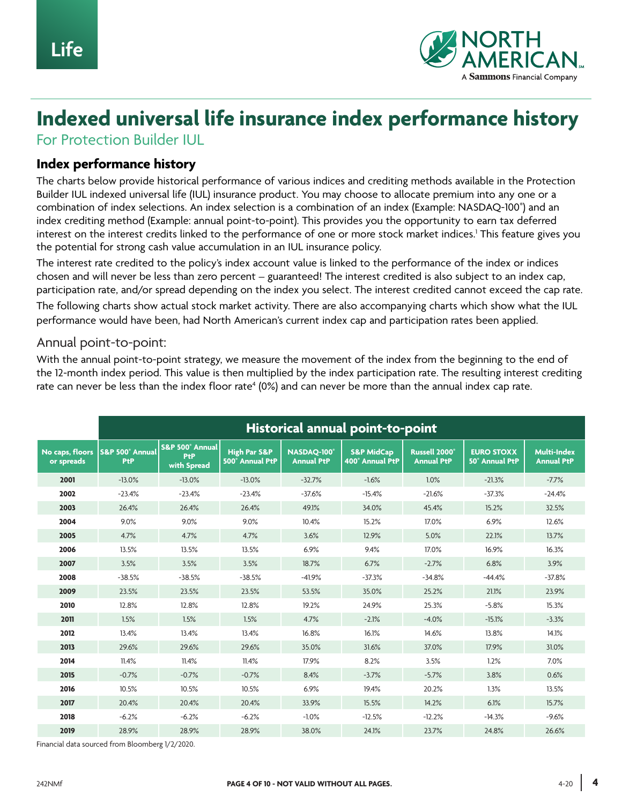

# **Indexed universal life insurance index performance history**

For Protection Builder IUL

#### **Index performance history**

The charts below provide historical performance of various indices and crediting methods available in the Protection Builder IUL indexed universal life (IUL) insurance product. You may choose to allocate premium into any one or a combination of index selections. An index selection is a combination of an index (Example: NASDAQ-100® ) and an index crediting method (Example: annual point-to-point). This provides you the opportunity to earn tax deferred interest on the interest credits linked to the performance of one or more stock market indices.1 This feature gives you the potential for strong cash value accumulation in an IUL insurance policy.

The interest rate credited to the policy's index account value is linked to the performance of the index or indices chosen and will never be less than zero percent – guaranteed! The interest credited is also subject to an index cap, participation rate, and/or spread depending on the index you select. The interest credited cannot exceed the cap rate.

The following charts show actual stock market activity. There are also accompanying charts which show what the IUL performance would have been, had North American's current index cap and participation rates been applied.

#### Annual point-to-point:

With the annual point-to-point strategy, we measure the movement of the index from the beginning to the end of the 12-month index period. This value is then multiplied by the index participation rate. The resulting interest crediting rate can never be less than the index floor rate $^{\rm 4}$  (0%) and can never be more than the annual index cap rate.

|                               | Historical annual point-to-point |                                       |                                            |                                 |                                          |                                                |                                            |                                         |
|-------------------------------|----------------------------------|---------------------------------------|--------------------------------------------|---------------------------------|------------------------------------------|------------------------------------------------|--------------------------------------------|-----------------------------------------|
| No caps, floors<br>or spreads | S&P 500° Annual<br>PtP           | S&P 500° Annual<br>PtP<br>with Spread | <b>High Par S&amp;P</b><br>500° Annual PtP | NASDAO-100<br><b>Annual PtP</b> | <b>S&amp;P MidCap</b><br>400° Annual PtP | Russell 2000 <sup>®</sup><br><b>Annual PtP</b> | <b>EURO STOXX</b><br><b>50° Annual PtP</b> | <b>Multi-Index</b><br><b>Annual PtP</b> |
| 2001                          | $-13.0%$                         | $-13.0%$                              | $-13.0%$                                   | $-32.7%$                        | $-1.6%$                                  | 1.0%                                           | $-21.3%$                                   | $-7.7%$                                 |
| 2002                          | $-23.4%$                         | $-23.4%$                              | $-23.4%$                                   | $-37.6%$                        | $-15.4%$                                 | $-21.6%$                                       | $-37.3%$                                   | $-24.4%$                                |
| 2003                          | 26.4%                            | 26.4%                                 | 26.4%                                      | 49.1%                           | 34.0%                                    | 45.4%                                          | 15.2%                                      | 32.5%                                   |
| 2004                          | 9.0%                             | 9.0%                                  | 9.0%                                       | 10.4%                           | 15.2%                                    | 17.0%                                          | 6.9%                                       | 12.6%                                   |
| 2005                          | 4.7%                             | 4.7%                                  | 4.7%                                       | 3.6%                            | 12.9%                                    | 5.0%                                           | 22.1%                                      | 13.7%                                   |
| 2006                          | 13.5%                            | 13.5%                                 | 13.5%                                      | 6.9%                            | 9.4%                                     | 17.0%                                          | 16.9%                                      | 16.3%                                   |
| 2007                          | 3.5%                             | 3.5%                                  | 3.5%                                       | 18.7%                           | 6.7%                                     | $-2.7%$                                        | 6.8%                                       | 3.9%                                    |
| 2008                          | $-38.5%$                         | $-38.5%$                              | $-38.5%$                                   | $-41.9%$                        | $-37.3%$                                 | $-34.8%$                                       | $-44.4%$                                   | $-37.8%$                                |
| 2009                          | 23.5%                            | 23.5%                                 | 23.5%                                      | 53.5%                           | 35.0%                                    | 25.2%                                          | 21.1%                                      | 23.9%                                   |
| 2010                          | 12.8%                            | 12.8%                                 | 12.8%                                      | 19.2%                           | 24.9%                                    | 25.3%                                          | $-5.8%$                                    | 15.3%                                   |
| 2011                          | 1.5%                             | 1.5%                                  | 1.5%                                       | 4.7%                            | $-2.1%$                                  | $-4.0%$                                        | $-15.1%$                                   | $-3.3%$                                 |
| 2012                          | 13.4%                            | 13.4%                                 | 13.4%                                      | 16.8%                           | 16.1%                                    | 14.6%                                          | 13.8%                                      | 14.1%                                   |
| 2013                          | 29.6%                            | 29.6%                                 | 29.6%                                      | 35.0%                           | 31.6%                                    | 37.0%                                          | 17.9%                                      | 31.0%                                   |
| 2014                          | 11.4%                            | 11.4%                                 | 11.4%                                      | 17.9%                           | 8.2%                                     | 3.5%                                           | 1.2%                                       | 7.0%                                    |
| 2015                          | $-0.7%$                          | $-0.7%$                               | $-0.7%$                                    | 8.4%                            | $-3.7%$                                  | $-5.7%$                                        | 3.8%                                       | 0.6%                                    |
| 2016                          | 10.5%                            | 10.5%                                 | 10.5%                                      | 6.9%                            | 19.4%                                    | 20.2%                                          | 1.3%                                       | 13.5%                                   |
| 2017                          | 20.4%                            | 20.4%                                 | 20.4%                                      | 33.9%                           | 15.5%                                    | 14.2%                                          | 6.1%                                       | 15.7%                                   |
| 2018                          | $-6.2%$                          | $-6.2%$                               | $-6.2%$                                    | $-1.0%$                         | $-12.5%$                                 | $-12.2%$                                       | $-14.3%$                                   | $-9.6%$                                 |
| 2019                          | 28.9%                            | 28.9%                                 | 28.9%                                      | 38.0%                           | 24.1%                                    | 23.7%                                          | 24.8%                                      | 26.6%                                   |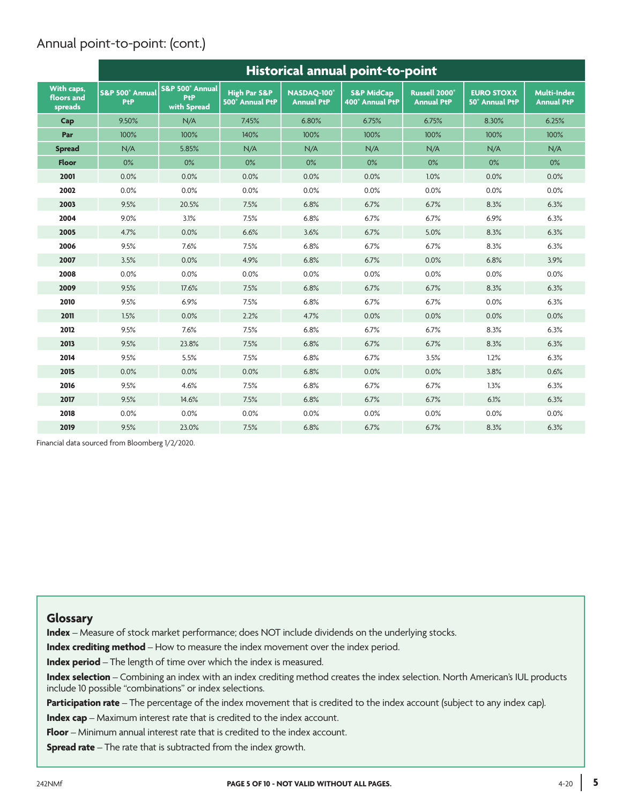# Annual point-to-point: (cont.)

|                                     | Historical annual point-to-point |                                              |                                            |                                  |                                          |                                                |                                     |                                         |
|-------------------------------------|----------------------------------|----------------------------------------------|--------------------------------------------|----------------------------------|------------------------------------------|------------------------------------------------|-------------------------------------|-----------------------------------------|
| With caps,<br>floors and<br>spreads | S&P 500° Annual<br>PtP           | S&P 500° Annual<br><b>PtP</b><br>with Spread | <b>High Par S&amp;P</b><br>500° Annual PtP | NASDAO-100°<br><b>Annual PtP</b> | <b>S&amp;P MidCap</b><br>400° Annual PtP | Russell 2000 <sup>°</sup><br><b>Annual PtP</b> | <b>EURO STOXX</b><br>50° Annual PtP | <b>Multi-Index</b><br><b>Annual PtP</b> |
| Cap                                 | 9.50%                            | N/A                                          | 7.45%                                      | 6.80%                            | 6.75%                                    | 6.75%                                          | 8.30%                               | 6.25%                                   |
| Par                                 | 100%                             | 100%                                         | 140%                                       | 100%                             | 100%                                     | 100%                                           | 100%                                | 100%                                    |
| <b>Spread</b>                       | N/A                              | 5.85%                                        | N/A                                        | N/A                              | N/A                                      | N/A                                            | N/A                                 | N/A                                     |
| <b>Floor</b>                        | 0%                               | 0%                                           | 0%                                         | 0%                               | $0\%$                                    | $0\%$                                          | $0\%$                               | 0%                                      |
| 2001                                | 0.0%                             | 0.0%                                         | 0.0%                                       | 0.0%                             | 0.0%                                     | 1.0%                                           | 0.0%                                | 0.0%                                    |
| 2002                                | 0.0%                             | 0.0%                                         | 0.0%                                       | 0.0%                             | 0.0%                                     | 0.0%                                           | 0.0%                                | 0.0%                                    |
| 2003                                | 9.5%                             | 20.5%                                        | 7.5%                                       | 6.8%                             | 6.7%                                     | 6.7%                                           | 8.3%                                | 6.3%                                    |
| 2004                                | 9.0%                             | 3.1%                                         | 7.5%                                       | 6.8%                             | 6.7%                                     | 6.7%                                           | 6.9%                                | 6.3%                                    |
| 2005                                | 4.7%                             | 0.0%                                         | 6.6%                                       | 3.6%                             | 6.7%                                     | 5.0%                                           | 8.3%                                | 6.3%                                    |
| 2006                                | 9.5%                             | 7.6%                                         | 7.5%                                       | 6.8%                             | 6.7%                                     | 6.7%                                           | 8.3%                                | 6.3%                                    |
| 2007                                | 3.5%                             | 0.0%                                         | 4.9%                                       | 6.8%                             | 6.7%                                     | 0.0%                                           | 6.8%                                | 3.9%                                    |
| 2008                                | 0.0%                             | 0.0%                                         | 0.0%                                       | 0.0%                             | 0.0%                                     | 0.0%                                           | 0.0%                                | 0.0%                                    |
| 2009                                | 9.5%                             | 17.6%                                        | 7.5%                                       | 6.8%                             | 6.7%                                     | 6.7%                                           | 8.3%                                | 6.3%                                    |
| 2010                                | 9.5%                             | 6.9%                                         | 7.5%                                       | 6.8%                             | 6.7%                                     | 6.7%                                           | 0.0%                                | 6.3%                                    |
| 2011                                | 1.5%                             | 0.0%                                         | 2.2%                                       | 4.7%                             | 0.0%                                     | 0.0%                                           | 0.0%                                | 0.0%                                    |
| 2012                                | 9.5%                             | 7.6%                                         | 7.5%                                       | 6.8%                             | 6.7%                                     | 6.7%                                           | 8.3%                                | 6.3%                                    |
| 2013                                | 9.5%                             | 23.8%                                        | 7.5%                                       | 6.8%                             | 6.7%                                     | 6.7%                                           | 8.3%                                | 6.3%                                    |
| 2014                                | 9.5%                             | 5.5%                                         | 7.5%                                       | 6.8%                             | 6.7%                                     | 3.5%                                           | 1.2%                                | 6.3%                                    |
| 2015                                | 0.0%                             | 0.0%                                         | 0.0%                                       | 6.8%                             | 0.0%                                     | 0.0%                                           | 3.8%                                | 0.6%                                    |
| 2016                                | 9.5%                             | 4.6%                                         | 7.5%                                       | 6.8%                             | 6.7%                                     | 6.7%                                           | 1.3%                                | 6.3%                                    |
| 2017                                | 9.5%                             | 14.6%                                        | 7.5%                                       | 6.8%                             | 6.7%                                     | 6.7%                                           | 6.1%                                | 6.3%                                    |
| 2018                                | 0.0%                             | 0.0%                                         | 0.0%                                       | 0.0%                             | 0.0%                                     | 0.0%                                           | 0.0%                                | 0.0%                                    |
| 2019                                | 9.5%                             | 23.0%                                        | 7.5%                                       | 6.8%                             | 6.7%                                     | 6.7%                                           | 8.3%                                | 6.3%                                    |

Financial data sourced from Bloomberg 1/2/2020.

#### **Glossary**

**Index** – Measure of stock market performance; does NOT include dividends on the underlying stocks.

**Index crediting method** – How to measure the index movement over the index period.

**Index period** – The length of time over which the index is measured.

**Index selection** – Combining an index with an index crediting method creates the index selection. North American's IUL products include 10 possible "combinations" or index selections.

**Participation rate** – The percentage of the index movement that is credited to the index account (subject to any index cap).

**Index cap** – Maximum interest rate that is credited to the index account.

**Floor** – Minimum annual interest rate that is credited to the index account.

**Spread rate** – The rate that is subtracted from the index growth.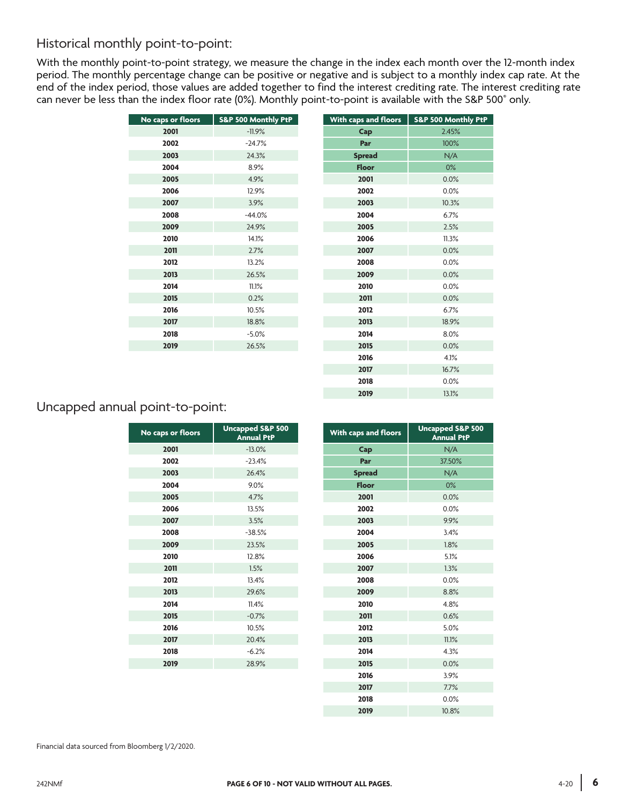## Historical monthly point-to-point:

With the monthly point-to-point strategy, we measure the change in the index each month over the 12-month index period. The monthly percentage change can be positive or negative and is subject to a monthly index cap rate. At the end of the index period, those values are added together to find the interest crediting rate. The interest crediting rate can never be less than the index floor rate (0%). Monthly point-to-point is available with the S&P 500® only.

| No caps or floors | S&P 500 Monthly PtP | With caps and floors | <b>S&amp;P 500 Mo</b> |
|-------------------|---------------------|----------------------|-----------------------|
| 2001              | $-11.9%$            | Cap                  | 2.45%                 |
| 2002              | $-24.7%$            | Par                  | 100 <sup>9</sup>      |
| 2003              | 24.3%               | <b>Spread</b>        | N/f                   |
| 2004              | 8.9%                | <b>Floor</b>         | 0%                    |
| 2005              | 4.9%                | 2001                 | 0.0 <sup>9</sup>      |
| 2006              | 12.9%               | 2002                 | 0.0 <sup>9</sup>      |
| 2007              | 3.9%                | 2003                 | 10.3 <sup>c</sup>     |
| 2008              | $-44.0%$            | 2004                 | 6.7%                  |
| 2009              | 24.9%               | 2005                 | 2.5%                  |
| 2010              | 14.1%               | 2006                 | 11.3%                 |
| 2011              | 2.7%                | 2007                 | 0.0 <sup>9</sup>      |
| 2012              | 13.2%               | 2008                 | 0.0 <sup>9</sup>      |
| 2013              | 26.5%               | 2009                 | 0.0 <sup>9</sup>      |
| 2014              | 11.1%               | 2010                 | 0.0 <sup>9</sup>      |
| 2015              | 0.2%                | 2011                 | 0.0 <sup>9</sup>      |
| 2016              | 10.5%               | 2012                 | 6.7%                  |
| 2017              | 18.8%               | 2013                 | 18.99                 |
| 2018              | $-5.0%$             | 2014                 | 8.0%                  |
| 2019              | 26.5%               | 2015                 | 0.0 <sup>9</sup>      |
|                   |                     |                      |                       |

| No caps or floors | S&P 500 Monthly PtP | With caps and floors | S&P 500 Monthly PtP |
|-------------------|---------------------|----------------------|---------------------|
| 2001              | $-11.9%$            | Cap                  | 2.45%               |
| 2002              | $-24.7%$            | Par                  | 100%                |
| 2003              | 24.3%               | <b>Spread</b>        | N/A                 |
| 2004              | 8.9%                | <b>Floor</b>         | 0%                  |
| 2005              | 4.9%                | 2001                 | 0.0%                |
| 2006              | 12.9%               | 2002                 | 0.0%                |
| 2007              | 3.9%                | 2003                 | 10.3%               |
| 2008              | $-44.0%$            | 2004                 | 6.7%                |
| 2009              | 24.9%               | 2005                 | 2.5%                |
| 2010              | 14.1%               | 2006                 | 11.3%               |
| 2011              | 2.7%                | 2007                 | 0.0%                |
| 2012              | 13.2%               | 2008                 | 0.0%                |
| 2013              | 26.5%               | 2009                 | 0.0%                |
| 2014              | 11.1%               | 2010                 | 0.0%                |
| 2015              | 0.2%                | 2011                 | 0.0%                |
| 2016              | 10.5%               | 2012                 | 6.7%                |
| 2017              | 18.8%               | 2013                 | 18.9%               |
| 2018              | $-5.0%$             | 2014                 | 8.0%                |
| 2019              | 26.5%               | 2015                 | 0.0%                |
|                   |                     | 2016                 | 4.1%                |
|                   |                     | 2017                 | 16.7%               |
|                   |                     | 2018                 | 0.0%                |
|                   |                     | 2019                 | 13.1%               |
|                   |                     |                      |                     |

## Uncapped annual point-to-point:

| No caps or floors | <b>Uncapped S&amp;P 500</b><br><b>Annual PtP</b> | With caps and floors | <b>Uncapped S</b><br>Annual |
|-------------------|--------------------------------------------------|----------------------|-----------------------------|
| 2001              | $-13.0%$                                         | Cap                  |                             |
| 2002              | $-23.4%$                                         | Par                  | 37.50%                      |
| 2003              | 26.4%                                            | <b>Spread</b>        |                             |
| 2004              | 9.0%                                             | <b>Floor</b>         |                             |
| 2005              | 4.7%                                             | 2001                 |                             |
| 2006              | 13.5%                                            | 2002                 |                             |
| 2007              | 3.5%                                             | 2003                 |                             |
| 2008              | $-38.5%$                                         | 2004                 |                             |
| 2009              | 23.5%                                            | 2005                 |                             |
| 2010              | 12.8%                                            | 2006                 |                             |
| 2011              | 1.5%                                             | 2007                 |                             |
| 2012              | 13.4%                                            | 2008                 |                             |
| 2013              | 29.6%                                            | 2009                 |                             |
| 2014              | 11.4%                                            | 2010                 |                             |
| 2015              | $-0.7%$                                          | 2011                 |                             |
| 2016              | 10.5%                                            | 2012                 |                             |
| 2017              | 20.4%                                            | 2013                 |                             |
| 2018              | $-6.2%$                                          | 2014                 |                             |
| 2019              | 28.9%                                            | 2015                 |                             |
|                   |                                                  | 2016                 |                             |

| os or floors | <b>Uncapped S&amp;P 500</b><br><b>Annual PtP</b> | With caps and floors | <b>Uncapped S&amp;P 500</b><br><b>Annual PtP</b> |
|--------------|--------------------------------------------------|----------------------|--------------------------------------------------|
| 2001         | $-13.0%$                                         | Cap                  | N/A                                              |
| 2002         | $-23.4%$                                         | Par                  | 37.50%                                           |
| 2003         | 26.4%                                            | <b>Spread</b>        | N/A                                              |
| 2004         | 9.0%                                             | <b>Floor</b>         | 0%                                               |
| 2005         | 4.7%                                             | 2001                 | 0.0%                                             |
| 2006         | 13.5%                                            | 2002                 | 0.0%                                             |
| 2007         | 3.5%                                             | 2003                 | 9.9%                                             |
| 2008         | $-38.5%$                                         | 2004                 | 3.4%                                             |
| 2009         | 23.5%                                            | 2005                 | 1.8%                                             |
| 2010         | 12.8%                                            | 2006                 | 5.1%                                             |
| 2011         | 1.5%                                             | 2007                 | 1.3%                                             |
| 2012         | 13.4%                                            | 2008                 | 0.0%                                             |
| 2013         | 29.6%                                            | 2009                 | 8.8%                                             |
| 2014         | 11.4%                                            | 2010                 | 4.8%                                             |
| 2015         | $-0.7%$                                          | 2011                 | 0.6%                                             |
| 2016         | 10.5%                                            | 2012                 | 5.0%                                             |
| 2017         | 20.4%                                            | 2013                 | 11.1%                                            |
| 2018         | $-6.2%$                                          | 2014                 | 4.3%                                             |
| 2019         | 28.9%                                            | 2015                 | 0.0%                                             |
|              |                                                  | 2016                 | 3.9%                                             |
|              |                                                  | 2017                 | 7.7%                                             |
|              |                                                  | 2018                 | 0.0%                                             |
|              |                                                  | 2019                 | 10.8%                                            |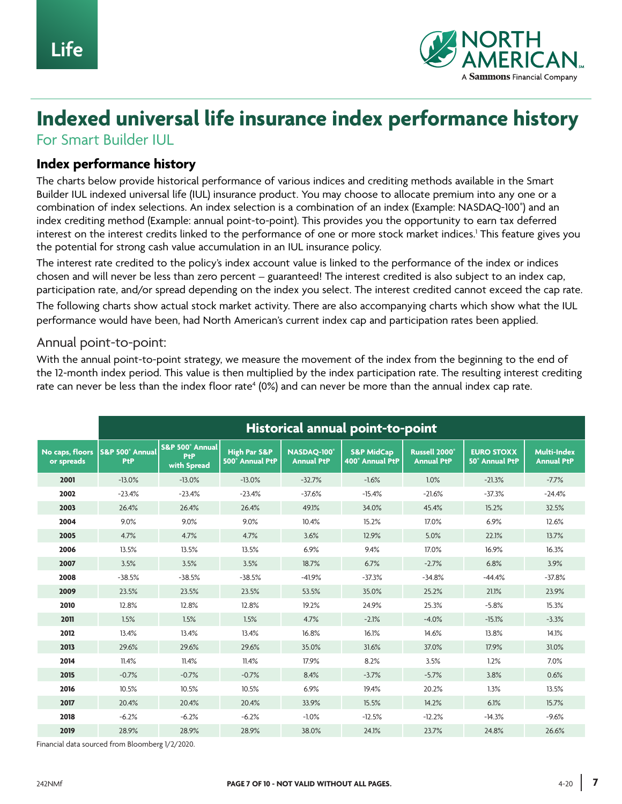

# **Indexed universal life insurance index performance history**

For Smart Builder IUL

#### **Index performance history**

The charts below provide historical performance of various indices and crediting methods available in the Smart Builder IUL indexed universal life (IUL) insurance product. You may choose to allocate premium into any one or a combination of index selections. An index selection is a combination of an index (Example: NASDAQ-100® ) and an index crediting method (Example: annual point-to-point). This provides you the opportunity to earn tax deferred interest on the interest credits linked to the performance of one or more stock market indices.1 This feature gives you the potential for strong cash value accumulation in an IUL insurance policy.

The interest rate credited to the policy's index account value is linked to the performance of the index or indices chosen and will never be less than zero percent – guaranteed! The interest credited is also subject to an index cap, participation rate, and/or spread depending on the index you select. The interest credited cannot exceed the cap rate.

The following charts show actual stock market activity. There are also accompanying charts which show what the IUL performance would have been, had North American's current index cap and participation rates been applied.

#### Annual point-to-point:

With the annual point-to-point strategy, we measure the movement of the index from the beginning to the end of the 12-month index period. This value is then multiplied by the index participation rate. The resulting interest crediting rate can never be less than the index floor rate $^{\rm 4}$  (0%) and can never be more than the annual index cap rate.

|                               | Historical annual point-to-point  |                                                  |                                            |                                 |                                          |                                                |                                            |                                         |
|-------------------------------|-----------------------------------|--------------------------------------------------|--------------------------------------------|---------------------------------|------------------------------------------|------------------------------------------------|--------------------------------------------|-----------------------------------------|
| No caps, floors<br>or spreads | <b>S&amp;P 500° Annual</b><br>PtP | <b>S&amp;P 500° Annual</b><br>PtP<br>with Spread | <b>High Par S&amp;P</b><br>500° Annual PtP | NASDAO-100<br><b>Annual PtP</b> | <b>S&amp;P MidCap</b><br>400° Annual PtP | Russell 2000 <sup>®</sup><br><b>Annual PtP</b> | <b>EURO STOXX</b><br><b>50° Annual PtP</b> | <b>Multi-Index</b><br><b>Annual PtP</b> |
| 2001                          | $-13.0%$                          | $-13.0%$                                         | $-13.0%$                                   | $-32.7%$                        | $-1.6%$                                  | 1.0%                                           | $-21.3%$                                   | $-7.7%$                                 |
| 2002                          | $-23.4%$                          | $-23.4%$                                         | $-23.4%$                                   | $-37.6%$                        | $-15.4%$                                 | $-21.6%$                                       | $-37.3%$                                   | $-24.4%$                                |
| 2003                          | 26.4%                             | 26.4%                                            | 26.4%                                      | 49.1%                           | 34.0%                                    | 45.4%                                          | 15.2%                                      | 32.5%                                   |
| 2004                          | 9.0%                              | 9.0%                                             | 9.0%                                       | 10.4%                           | 15.2%                                    | 17.0%                                          | 6.9%                                       | 12.6%                                   |
| 2005                          | 4.7%                              | 4.7%                                             | 4.7%                                       | 3.6%                            | 12.9%                                    | 5.0%                                           | 22.1%                                      | 13.7%                                   |
| 2006                          | 13.5%                             | 13.5%                                            | 13.5%                                      | 6.9%                            | 9.4%                                     | 17.0%                                          | 16.9%                                      | 16.3%                                   |
| 2007                          | 3.5%                              | 3.5%                                             | 3.5%                                       | 18.7%                           | 6.7%                                     | $-2.7%$                                        | 6.8%                                       | 3.9%                                    |
| 2008                          | $-38.5%$                          | $-38.5%$                                         | $-38.5%$                                   | $-41.9%$                        | $-37.3%$                                 | $-34.8%$                                       | $-44.4%$                                   | $-37.8%$                                |
| 2009                          | 23.5%                             | 23.5%                                            | 23.5%                                      | 53.5%                           | 35.0%                                    | 25.2%                                          | 21.1%                                      | 23.9%                                   |
| 2010                          | 12.8%                             | 12.8%                                            | 12.8%                                      | 19.2%                           | 24.9%                                    | 25.3%                                          | $-5.8%$                                    | 15.3%                                   |
| 2011                          | 1.5%                              | 1.5%                                             | 1.5%                                       | 4.7%                            | $-2.1%$                                  | $-4.0%$                                        | $-15.1%$                                   | $-3.3%$                                 |
| 2012                          | 13.4%                             | 13.4%                                            | 13.4%                                      | 16.8%                           | 16.1%                                    | 14.6%                                          | 13.8%                                      | 14.1%                                   |
| 2013                          | 29.6%                             | 29.6%                                            | 29.6%                                      | 35.0%                           | 31.6%                                    | 37.0%                                          | 17.9%                                      | 31.0%                                   |
| 2014                          | 11.4%                             | 11.4%                                            | 11.4%                                      | 17.9%                           | 8.2%                                     | 3.5%                                           | 1.2%                                       | 7.0%                                    |
| 2015                          | $-0.7%$                           | $-0.7%$                                          | $-0.7%$                                    | 8.4%                            | $-3.7%$                                  | $-5.7%$                                        | 3.8%                                       | 0.6%                                    |
| 2016                          | 10.5%                             | 10.5%                                            | 10.5%                                      | 6.9%                            | 19.4%                                    | 20.2%                                          | 1.3%                                       | 13.5%                                   |
| 2017                          | 20.4%                             | 20.4%                                            | 20.4%                                      | 33.9%                           | 15.5%                                    | 14.2%                                          | 6.1%                                       | 15.7%                                   |
| 2018                          | $-6.2%$                           | $-6.2%$                                          | $-6.2%$                                    | $-1.0%$                         | $-12.5%$                                 | $-12.2%$                                       | $-14.3%$                                   | $-9.6%$                                 |
| 2019                          | 28.9%                             | 28.9%                                            | 28.9%                                      | 38.0%                           | 24.1%                                    | 23.7%                                          | 24.8%                                      | 26.6%                                   |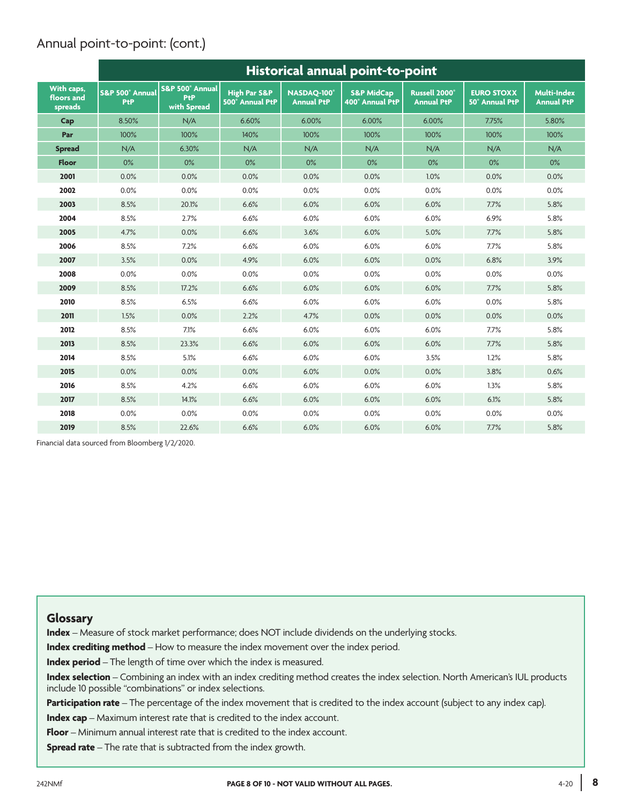# Annual point-to-point: (cont.)

|                                     | Historical annual point-to-point |                                              |                                            |                                  |                                          |                                                |                                     |                                         |
|-------------------------------------|----------------------------------|----------------------------------------------|--------------------------------------------|----------------------------------|------------------------------------------|------------------------------------------------|-------------------------------------|-----------------------------------------|
| With caps,<br>floors and<br>spreads | S&P 500° Annual<br>PtP           | S&P 500° Annual<br><b>PtP</b><br>with Spread | <b>High Par S&amp;P</b><br>500° Annual PtP | NASDAO-100°<br><b>Annual PtP</b> | <b>S&amp;P MidCap</b><br>400° Annual PtP | Russell 2000 <sup>®</sup><br><b>Annual PtP</b> | <b>EURO STOXX</b><br>50° Annual PtP | <b>Multi-Index</b><br><b>Annual PtP</b> |
| Cap                                 | 8.50%                            | N/A                                          | 6.60%                                      | 6.00%                            | 6.00%                                    | 6.00%                                          | 7.75%                               | 5.80%                                   |
| Par                                 | 100%                             | 100%                                         | 140%                                       | 100%                             | 100%                                     | 100%                                           | 100%                                | 100%                                    |
| <b>Spread</b>                       | N/A                              | 6.30%                                        | N/A                                        | N/A                              | N/A                                      | N/A                                            | N/A                                 | N/A                                     |
| <b>Floor</b>                        | 0%                               | 0%                                           | 0%                                         | 0%                               | $0\%$                                    | $0\%$                                          | $0\%$                               | 0%                                      |
| 2001                                | 0.0%                             | 0.0%                                         | 0.0%                                       | 0.0%                             | 0.0%                                     | 1.0%                                           | 0.0%                                | 0.0%                                    |
| 2002                                | 0.0%                             | 0.0%                                         | 0.0%                                       | 0.0%                             | 0.0%                                     | 0.0%                                           | 0.0%                                | 0.0%                                    |
| 2003                                | 8.5%                             | 20.1%                                        | 6.6%                                       | 6.0%                             | 6.0%                                     | 6.0%                                           | 7.7%                                | 5.8%                                    |
| 2004                                | 8.5%                             | 2.7%                                         | 6.6%                                       | 6.0%                             | 6.0%                                     | 6.0%                                           | 6.9%                                | 5.8%                                    |
| 2005                                | 4.7%                             | 0.0%                                         | 6.6%                                       | 3.6%                             | 6.0%                                     | 5.0%                                           | 7.7%                                | 5.8%                                    |
| 2006                                | 8.5%                             | 7.2%                                         | 6.6%                                       | 6.0%                             | 6.0%                                     | 6.0%                                           | 7.7%                                | 5.8%                                    |
| 2007                                | 3.5%                             | 0.0%                                         | 4.9%                                       | 6.0%                             | 6.0%                                     | 0.0%                                           | 6.8%                                | 3.9%                                    |
| 2008                                | 0.0%                             | 0.0%                                         | 0.0%                                       | 0.0%                             | 0.0%                                     | 0.0%                                           | 0.0%                                | 0.0%                                    |
| 2009                                | 8.5%                             | 17.2%                                        | 6.6%                                       | 6.0%                             | 6.0%                                     | 6.0%                                           | 7.7%                                | 5.8%                                    |
| 2010                                | 8.5%                             | 6.5%                                         | 6.6%                                       | 6.0%                             | 6.0%                                     | 6.0%                                           | 0.0%                                | 5.8%                                    |
| 2011                                | 1.5%                             | 0.0%                                         | 2.2%                                       | 4.7%                             | 0.0%                                     | 0.0%                                           | 0.0%                                | 0.0%                                    |
| 2012                                | 8.5%                             | 7.1%                                         | 6.6%                                       | 6.0%                             | 6.0%                                     | 6.0%                                           | 7.7%                                | 5.8%                                    |
| 2013                                | 8.5%                             | 23.3%                                        | 6.6%                                       | 6.0%                             | 6.0%                                     | 6.0%                                           | 7.7%                                | 5.8%                                    |
| 2014                                | 8.5%                             | 5.1%                                         | 6.6%                                       | 6.0%                             | 6.0%                                     | 3.5%                                           | 1.2%                                | 5.8%                                    |
| 2015                                | 0.0%                             | 0.0%                                         | 0.0%                                       | 6.0%                             | 0.0%                                     | 0.0%                                           | 3.8%                                | 0.6%                                    |
| 2016                                | 8.5%                             | 4.2%                                         | 6.6%                                       | 6.0%                             | 6.0%                                     | 6.0%                                           | 1.3%                                | 5.8%                                    |
| 2017                                | 8.5%                             | 14.1%                                        | 6.6%                                       | 6.0%                             | 6.0%                                     | 6.0%                                           | 6.1%                                | 5.8%                                    |
| 2018                                | 0.0%                             | 0.0%                                         | 0.0%                                       | 0.0%                             | 0.0%                                     | 0.0%                                           | 0.0%                                | 0.0%                                    |
| 2019                                | 8.5%                             | 22.6%                                        | 6.6%                                       | 6.0%                             | 6.0%                                     | 6.0%                                           | 7.7%                                | 5.8%                                    |

Financial data sourced from Bloomberg 1/2/2020.

#### **Glossary**

**Index** – Measure of stock market performance; does NOT include dividends on the underlying stocks.

**Index crediting method** – How to measure the index movement over the index period.

**Index period** – The length of time over which the index is measured.

**Index selection** – Combining an index with an index crediting method creates the index selection. North American's IUL products include 10 possible "combinations" or index selections.

**Participation rate** – The percentage of the index movement that is credited to the index account (subject to any index cap).

**Index cap** – Maximum interest rate that is credited to the index account.

**Floor** – Minimum annual interest rate that is credited to the index account.

**Spread rate** – The rate that is subtracted from the index growth.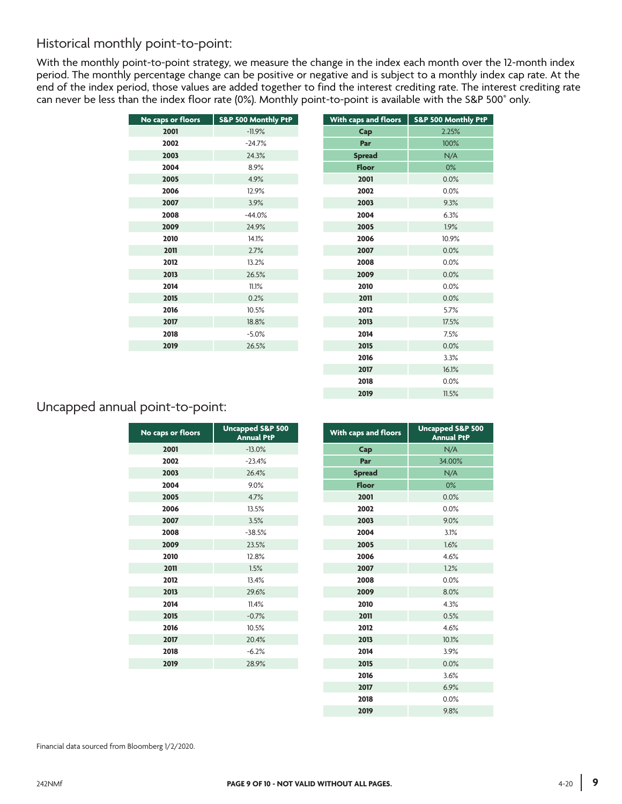## Historical monthly point-to-point:

With the monthly point-to-point strategy, we measure the change in the index each month over the 12-month index period. The monthly percentage change can be positive or negative and is subject to a monthly index cap rate. At the end of the index period, those values are added together to find the interest crediting rate. The interest crediting rate can never be less than the index floor rate (0%). Monthly point-to-point is available with the S&P 500® only.

| No caps or floors | S&P 500 Monthly PtP | With caps and floors | <b>S&amp;P 500 Mor</b> |
|-------------------|---------------------|----------------------|------------------------|
| 2001              | $-11.9%$            | Cap                  | 2.25%                  |
| 2002              | $-24.7%$            | Par                  | 100%                   |
| 2003              | 24.3%               | <b>Spread</b>        | N/A                    |
| 2004              | 8.9%                | <b>Floor</b>         | 0%                     |
| 2005              | 4.9%                | 2001                 | 0.0%                   |
| 2006              | 12.9%               | 2002                 | 0.0%                   |
| 2007              | 3.9%                | 2003                 | 9.3%                   |
| 2008              | $-44.0%$            | 2004                 | 6.3%                   |
| 2009              | 24.9%               | 2005                 | 1.9%                   |
| 2010              | 14.1%               | 2006                 | 10.9%                  |
| 2011              | 2.7%                | 2007                 | 0.0%                   |
| 2012              | 13.2%               | 2008                 | 0.0%                   |
| 2013              | 26.5%               | 2009                 | 0.0%                   |
| 2014              | 11.1%               | 2010                 | 0.0%                   |
| 2015              | 0.2%                | 2011                 | 0.0%                   |
| 2016              | 10.5%               | 2012                 | 5.7%                   |
| 2017              | 18.8%               | 2013                 | 17.5%                  |
| 2018              | $-5.0\%$            | 2014                 | 7.5%                   |
| 2019              | 26.5%               | 2015                 | 0.0%                   |
|                   |                     |                      |                        |

| No caps or floors | S&P 500 Monthly PtP | With caps and floors | S&P 500 Monthly PtP |
|-------------------|---------------------|----------------------|---------------------|
| 2001              | $-11.9%$            | Cap                  | 2.25%               |
| 2002              | $-24.7%$            | Par                  | 100%                |
| 2003              | 24.3%               | <b>Spread</b>        | N/A                 |
| 2004              | 8.9%                | <b>Floor</b>         | 0%                  |
| 2005              | 4.9%                | 2001                 | 0.0%                |
| 2006              | 12.9%               | 2002                 | 0.0%                |
| 2007              | 3.9%                | 2003                 | 9.3%                |
| 2008              | $-44.0%$            | 2004                 | 6.3%                |
| 2009              | 24.9%               | 2005                 | 1.9%                |
| 2010              | 14.1%               | 2006                 | 10.9%               |
| 2011              | 2.7%                | 2007                 | 0.0%                |
| 2012              | 13.2%               | 2008                 | 0.0%                |
| 2013              | 26.5%               | 2009                 | 0.0%                |
| 2014              | 11.1%               | 2010                 | 0.0%                |
| 2015              | 0.2%                | 2011                 | 0.0%                |
| 2016              | 10.5%               | 2012                 | 5.7%                |
| 2017              | 18.8%               | 2013                 | 17.5%               |
| 2018              | $-5.0%$             | 2014                 | 7.5%                |
| 2019              | 26.5%               | 2015                 | 0.0%                |
|                   |                     | 2016                 | 3.3%                |
|                   |                     | 2017                 | 16.1%               |
|                   |                     | 2018                 | 0.0%                |
|                   |                     | 2019                 | 11.5%               |
|                   |                     |                      |                     |

## Uncapped annual point-to-point:

| No caps or floors | <b>Uncapped S&amp;P 500</b><br><b>Annual PtP</b> | With caps and floors | <b>Uncapped S</b><br>Annual |
|-------------------|--------------------------------------------------|----------------------|-----------------------------|
| 2001              | $-13.0%$                                         | Cap                  | N/A                         |
| 2002              | $-23.4%$                                         | Par                  | 34.00%                      |
| 2003              | 26.4%                                            | <b>Spread</b>        | N/A                         |
| 2004              | 9.0%                                             | <b>Floor</b>         | 0%                          |
| 2005              | 4.7%                                             | 2001                 | 0.0%                        |
| 2006              | 13.5%                                            | 2002                 | 0.0%                        |
| 2007              | 3.5%                                             | 2003                 | 9.0%                        |
| 2008              | $-38.5%$                                         | 2004                 | 3.1%                        |
| 2009              | 23.5%                                            | 2005                 | 1.6%                        |
| 2010              | 12.8%                                            | 2006                 | 4.6%                        |
| 2011              | 1.5%                                             | 2007                 | 1.2%                        |
| 2012              | 13.4%                                            | 2008                 | 0.0%                        |
| 2013              | 29.6%                                            | 2009                 | 8.0%                        |
| 2014              | 11.4%                                            | 2010                 | 4.3%                        |
| 2015              | $-0.7%$                                          | 2011                 | 0.5%                        |
| 2016              | 10.5%                                            | 2012                 | 4.6%                        |
| 2017              | 20.4%                                            | 2013                 | 10.1%                       |
| 2018              | $-6.2%$                                          | 2014                 | 3.9%                        |
| 2019              | 28.9%                                            | 2015                 | 0.0%                        |
|                   |                                                  | 2016                 | 3.6%                        |

| os or floors | <b>Uncapped S&amp;P 500</b><br><b>Annual PtP</b> | With caps and floors | <b>Uncapped S&amp;P 500</b><br><b>Annual PtP</b> |
|--------------|--------------------------------------------------|----------------------|--------------------------------------------------|
| 2001         | $-13.0%$                                         | Cap                  | N/A                                              |
| 2002         | $-23.4%$                                         | Par                  | 34.00%                                           |
| 2003         | 26.4%                                            | <b>Spread</b>        | N/A                                              |
| 2004         | 9.0%                                             | <b>Floor</b>         | 0%                                               |
| 2005         | 4.7%                                             | 2001                 | 0.0%                                             |
| 2006         | 13.5%                                            | 2002                 | 0.0%                                             |
| 2007         | 3.5%                                             | 2003                 | 9.0%                                             |
| 2008         | $-38.5%$                                         | 2004                 | 3.1%                                             |
| 2009         | 23.5%                                            | 2005                 | 1.6%                                             |
| 2010         | 12.8%                                            | 2006                 | 4.6%                                             |
| 2011         | 1.5%                                             | 2007                 | 1.2%                                             |
| 2012         | 13.4%                                            | 2008                 | 0.0%                                             |
| 2013         | 29.6%                                            | 2009                 | 8.0%                                             |
| 2014         | 11.4%                                            | 2010                 | 4.3%                                             |
| 2015         | $-0.7%$                                          | 2011                 | 0.5%                                             |
| 2016         | 10.5%                                            | 2012                 | 4.6%                                             |
| 2017         | 20.4%                                            | 2013                 | 10.1%                                            |
| 2018         | $-6.2%$                                          | 2014                 | 3.9%                                             |
| 2019         | 28.9%                                            | 2015                 | 0.0%                                             |
|              |                                                  | 2016                 | 3.6%                                             |
|              |                                                  | 2017                 | 6.9%                                             |
|              |                                                  | 2018                 | 0.0%                                             |
|              |                                                  | 2019                 | 9.8%                                             |